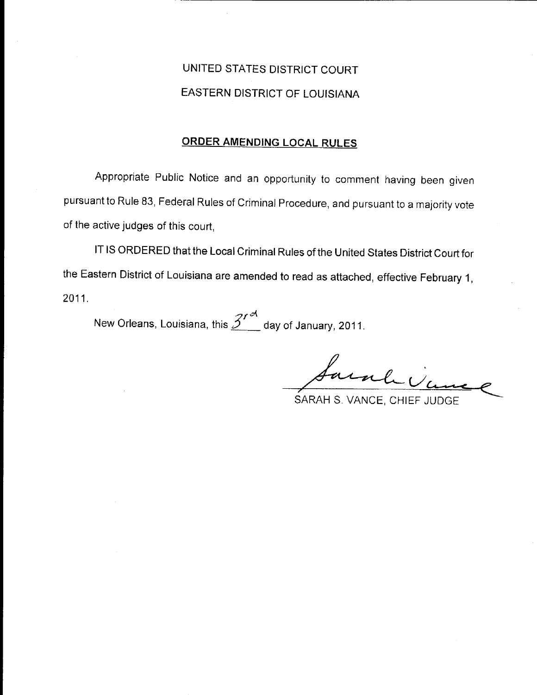# UNITED STATES DISTRICT COURT EASTERN DISTRICT OF LOUISIANA

# ORDER AMENDING LOCAL RULES

Appropriate Public Notice and an opportunity to comment having been given pursuant to Rule 83, Federal Rules of Criminal Procedure, and pursuant to a majority vote of the active judges of this court,

IT IS ORDERED that the Local Criminal Rules of the United States District Court for the Eastern District of Louisiana are amended to read as attached, effective February 1, 2011.

New Orleans, Louisiana, this  $\mathcal{Z}^{\prime}$  day of January, 2011.

ale.

SARAH S. VANCE, CHIEF JUDGE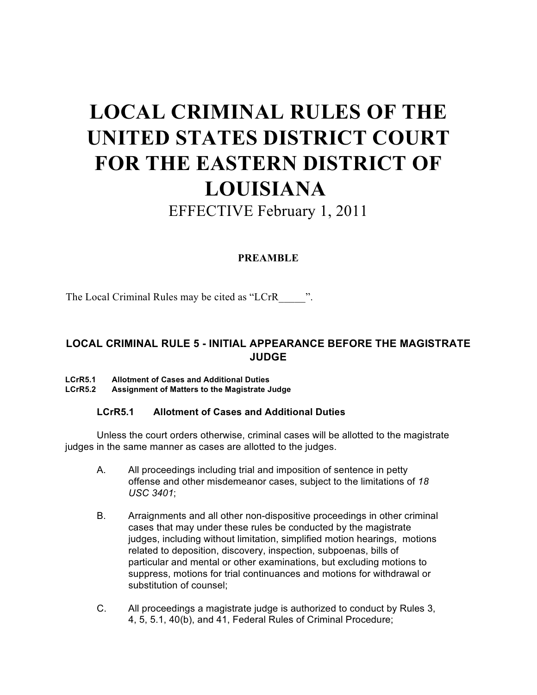# **LOCAL CRIMINAL RULES OF THE UNITED STATES DISTRICT COURT FOR THE EASTERN DISTRICT OF LOUISIANA**

EFFECTIVE February 1, 2011

# **PREAMBLE**

The Local Criminal Rules may be cited as "LCrR  $\ldots$ ".

# **LOCAL CRIMINAL RULE 5 - INITIAL APPEARANCE BEFORE THE MAGISTRATE JUDGE**

**LCrR5.1 Allotment of Cases and Additional Duties** 

**LCrR5.2 Assignment of Matters to the Magistrate Judge**

# **LCrR5.1 Allotment of Cases and Additional Duties**

Unless the court orders otherwise, criminal cases will be allotted to the magistrate judges in the same manner as cases are allotted to the judges.

- A. All proceedings including trial and imposition of sentence in petty offense and other misdemeanor cases, subject to the limitations of *18 USC 3401*;
- B. Arraignments and all other non-dispositive proceedings in other criminal cases that may under these rules be conducted by the magistrate judges, including without limitation, simplified motion hearings, motions related to deposition, discovery, inspection, subpoenas, bills of particular and mental or other examinations, but excluding motions to suppress, motions for trial continuances and motions for withdrawal or substitution of counsel;
- C. All proceedings a magistrate judge is authorized to conduct by Rules 3, 4, 5, 5.1, 40(b), and 41, Federal Rules of Criminal Procedure;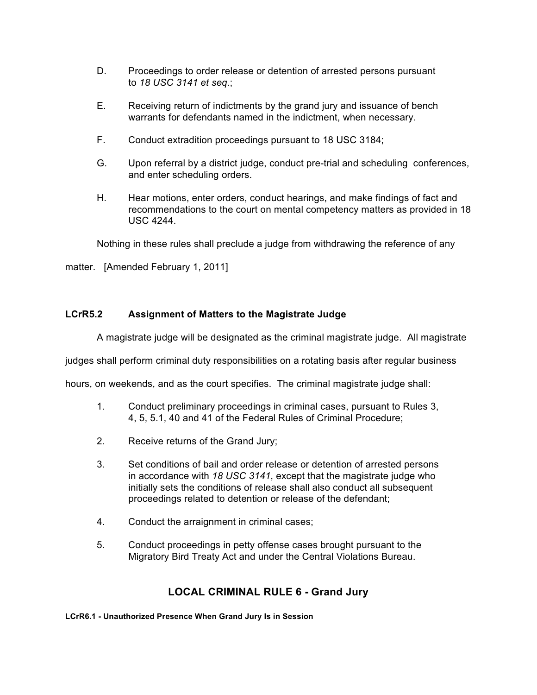- D. Proceedings to order release or detention of arrested persons pursuant to *18 USC 3141 et seq.*;
- E. Receiving return of indictments by the grand jury and issuance of bench warrants for defendants named in the indictment, when necessary.
- F. Conduct extradition proceedings pursuant to 18 USC 3184;
- G. Upon referral by a district judge, conduct pre-trial and scheduling conferences, and enter scheduling orders.
- H. Hear motions, enter orders, conduct hearings, and make findings of fact and recommendations to the court on mental competency matters as provided in 18 USC 4244.

Nothing in these rules shall preclude a judge from withdrawing the reference of any

matter. [Amended February 1, 2011]

# **LCrR5.2 Assignment of Matters to the Magistrate Judge**

A magistrate judge will be designated as the criminal magistrate judge. All magistrate

judges shall perform criminal duty responsibilities on a rotating basis after regular business

hours, on weekends, and as the court specifies. The criminal magistrate judge shall:

- 1. Conduct preliminary proceedings in criminal cases, pursuant to Rules 3, 4, 5, 5.1, 40 and 41 of the Federal Rules of Criminal Procedure;
- 2. Receive returns of the Grand Jury;
- 3. Set conditions of bail and order release or detention of arrested persons in accordance with *18 USC 3141*, except that the magistrate judge who initially sets the conditions of release shall also conduct all subsequent proceedings related to detention or release of the defendant;
- 4. Conduct the arraignment in criminal cases;
- 5. Conduct proceedings in petty offense cases brought pursuant to the Migratory Bird Treaty Act and under the Central Violations Bureau.

# **LOCAL CRIMINAL RULE 6 - Grand Jury**

**LCrR6.1 - Unauthorized Presence When Grand Jury Is in Session**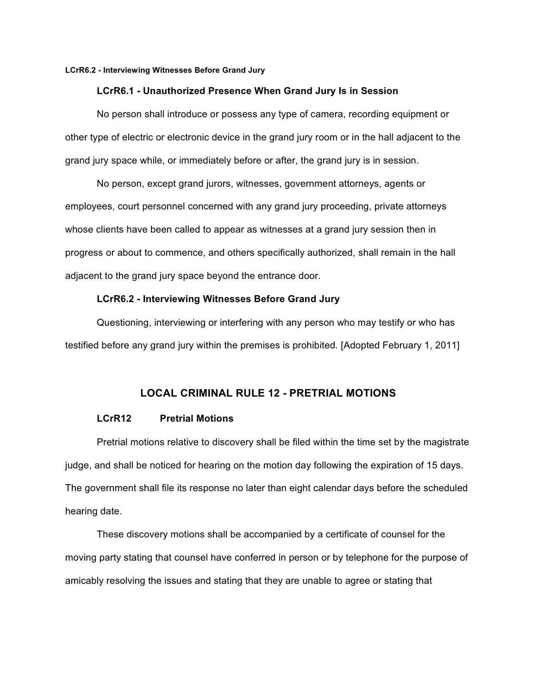#### **LCrR6.2 - Interviewing Witnesses Before Grand Jury**

#### **LCrR6.1 - Unauthorized Presence When Grand Jury Is in Session**

No person shall introduce or possess any type of camera, recording equipment or other type of electric or electronic device in the grand jury room or in the hall adjacent to the grand jury space while, or immediately before or after, the grand jury is in session.

No person, except grand jurors, witnesses, government attorneys, agents or employees, court personnel concerned with any grand jury proceeding, private attorneys whose clients have been called to appear as witnesses at a grand jury session then in progress or about to commence, and others specifically authorized, shall remain in the hall adjacent to the grand jury space beyond the entrance door.

#### **LCrR6.2 - Interviewing Witnesses Before Grand Jury**

Questioning, interviewing or interfering with any person who may testify or who has testified before any grand jury within the premises is prohibited. [Adopted February 1, 2011]

# **LOCAL CRIMINAL RULE 12 - PRETRIAL MOTIONS**

#### **LCrR12 Pretrial Motions**

Pretrial motions relative to discovery shall be filed within the time set by the magistrate judge, and shall be noticed for hearing on the motion day following the expiration of 15 days. The government shall file its response no later than eight calendar days before the scheduled hearing date.

These discovery motions shall be accompanied by a certificate of counsel for the moving party stating that counsel have conferred in person or by telephone for the purpose of amicably resolving the issues and stating that they are unable to agree or stating that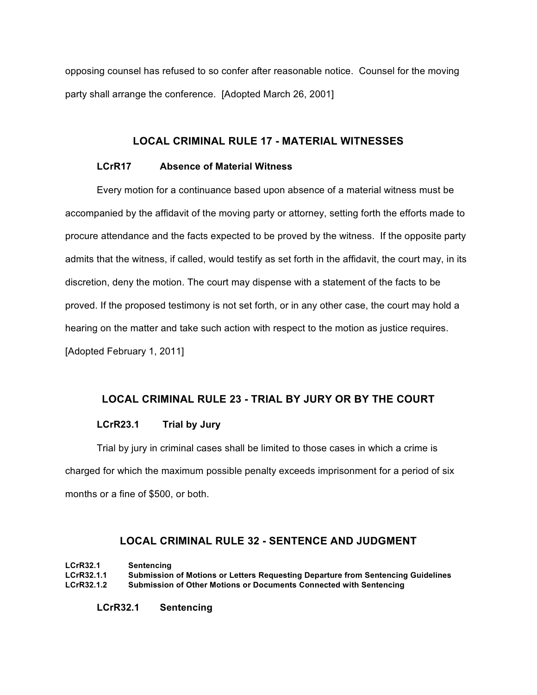opposing counsel has refused to so confer after reasonable notice. Counsel for the moving party shall arrange the conference. [Adopted March 26, 2001]

# **LOCAL CRIMINAL RULE 17 - MATERIAL WITNESSES**

#### **LCrR17 Absence of Material Witness**

Every motion for a continuance based upon absence of a material witness must be accompanied by the affidavit of the moving party or attorney, setting forth the efforts made to procure attendance and the facts expected to be proved by the witness. If the opposite party admits that the witness, if called, would testify as set forth in the affidavit, the court may, in its discretion, deny the motion. The court may dispense with a statement of the facts to be proved. If the proposed testimony is not set forth, or in any other case, the court may hold a hearing on the matter and take such action with respect to the motion as justice requires. [Adopted February 1, 2011]

# **LOCAL CRIMINAL RULE 23 - TRIAL BY JURY OR BY THE COURT**

#### **LCrR23.1 Trial by Jury**

Trial by jury in criminal cases shall be limited to those cases in which a crime is charged for which the maximum possible penalty exceeds imprisonment for a period of six months or a fine of \$500, or both.

# **LOCAL CRIMINAL RULE 32 - SENTENCE AND JUDGMENT**

**LCrR32.1 Sentencing LCrR32.1.1 Submission of Motions or Letters Requesting Departure from Sentencing Guidelines Submission of Other Motions or Documents Connected with Sentencing** 

**LCrR32.1 Sentencing**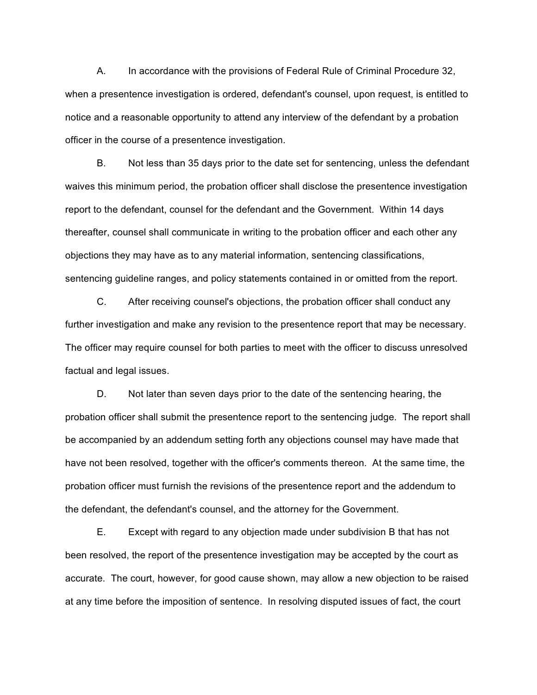A. In accordance with the provisions of Federal Rule of Criminal Procedure 32, when a presentence investigation is ordered, defendant's counsel, upon request, is entitled to notice and a reasonable opportunity to attend any interview of the defendant by a probation officer in the course of a presentence investigation.

B. Not less than 35 days prior to the date set for sentencing, unless the defendant waives this minimum period, the probation officer shall disclose the presentence investigation report to the defendant, counsel for the defendant and the Government. Within 14 days thereafter, counsel shall communicate in writing to the probation officer and each other any objections they may have as to any material information, sentencing classifications, sentencing guideline ranges, and policy statements contained in or omitted from the report.

C. After receiving counsel's objections, the probation officer shall conduct any further investigation and make any revision to the presentence report that may be necessary. The officer may require counsel for both parties to meet with the officer to discuss unresolved factual and legal issues.

D. Not later than seven days prior to the date of the sentencing hearing, the probation officer shall submit the presentence report to the sentencing judge. The report shall be accompanied by an addendum setting forth any objections counsel may have made that have not been resolved, together with the officer's comments thereon. At the same time, the probation officer must furnish the revisions of the presentence report and the addendum to the defendant, the defendant's counsel, and the attorney for the Government.

E. Except with regard to any objection made under subdivision B that has not been resolved, the report of the presentence investigation may be accepted by the court as accurate. The court, however, for good cause shown, may allow a new objection to be raised at any time before the imposition of sentence. In resolving disputed issues of fact, the court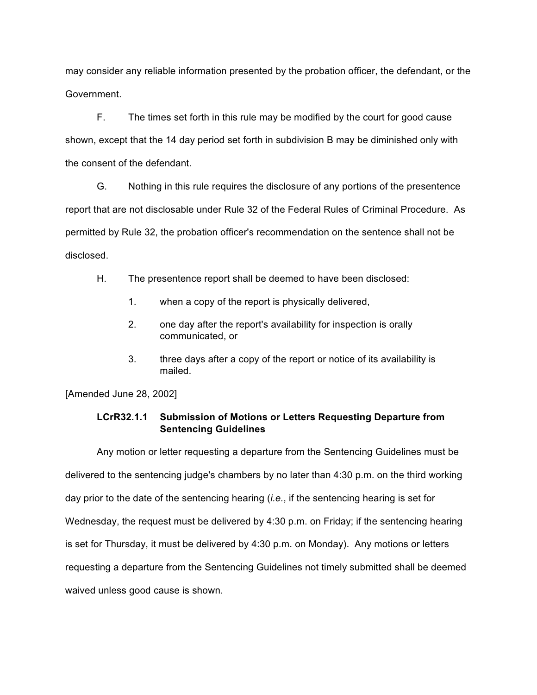may consider any reliable information presented by the probation officer, the defendant, or the Government.

F. The times set forth in this rule may be modified by the court for good cause shown, except that the 14 day period set forth in subdivision B may be diminished only with the consent of the defendant.

G. Nothing in this rule requires the disclosure of any portions of the presentence report that are not disclosable under Rule 32 of the Federal Rules of Criminal Procedure. As permitted by Rule 32, the probation officer's recommendation on the sentence shall not be disclosed.

H. The presentence report shall be deemed to have been disclosed:

- 1. when a copy of the report is physically delivered,
- 2. one day after the report's availability for inspection is orally communicated, or
- 3. three days after a copy of the report or notice of its availability is mailed.

[Amended June 28, 2002]

# **LCrR32.1.1 Submission of Motions or Letters Requesting Departure from Sentencing Guidelines**

Any motion or letter requesting a departure from the Sentencing Guidelines must be delivered to the sentencing judge's chambers by no later than 4:30 p.m. on the third working day prior to the date of the sentencing hearing (*i.e.*, if the sentencing hearing is set for Wednesday, the request must be delivered by 4:30 p.m. on Friday; if the sentencing hearing is set for Thursday, it must be delivered by 4:30 p.m. on Monday). Any motions or letters requesting a departure from the Sentencing Guidelines not timely submitted shall be deemed waived unless good cause is shown.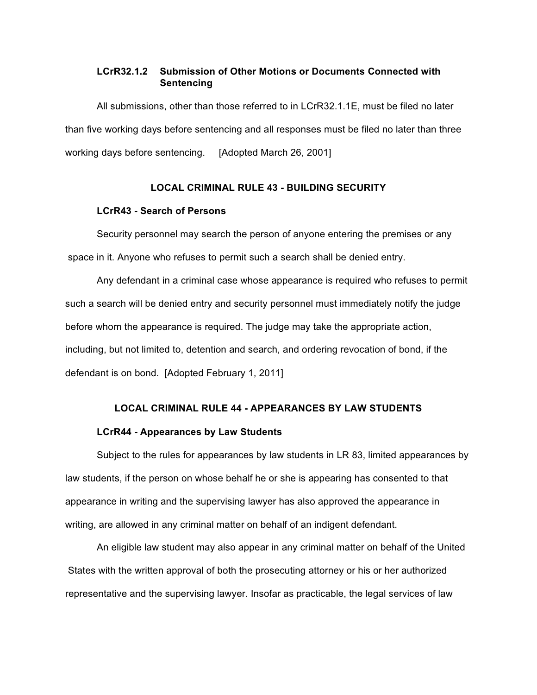# **LCrR32.1.2 Submission of Other Motions or Documents Connected with Sentencing**

All submissions, other than those referred to in LCrR32.1.1E, must be filed no later than five working days before sentencing and all responses must be filed no later than three working days before sentencing. [Adopted March 26, 2001]

#### **LOCAL CRIMINAL RULE 43 - BUILDING SECURITY**

#### **LCrR43 - Search of Persons**

Security personnel may search the person of anyone entering the premises or any space in it. Anyone who refuses to permit such a search shall be denied entry.

Any defendant in a criminal case whose appearance is required who refuses to permit such a search will be denied entry and security personnel must immediately notify the judge before whom the appearance is required. The judge may take the appropriate action, including, but not limited to, detention and search, and ordering revocation of bond, if the defendant is on bond.[Adopted February 1, 2011]

#### **LOCAL CRIMINAL RULE 44 - APPEARANCES BY LAW STUDENTS**

# **LCrR44 - Appearances by Law Students**

Subject to the rules for appearances by law students in LR 83, limited appearances by law students, if the person on whose behalf he or she is appearing has consented to that appearance in writing and the supervising lawyer has also approved the appearance in writing, are allowed in any criminal matter on behalf of an indigent defendant.

An eligible law student may also appear in any criminal matter on behalf of the United States with the written approval of both the prosecuting attorney or his or her authorized representative and the supervising lawyer. Insofar as practicable, the legal services of law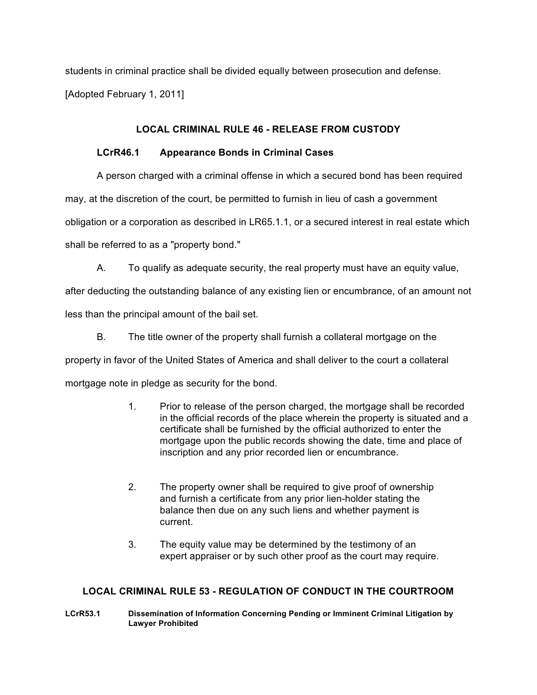students in criminal practice shall be divided equally between prosecution and defense. [Adopted February 1, 2011]

### **LOCAL CRIMINAL RULE 46 - RELEASE FROM CUSTODY**

# **LCrR46.1 Appearance Bonds in Criminal Cases**

A person charged with a criminal offense in which a secured bond has been required may, at the discretion of the court, be permitted to furnish in lieu of cash a government obligation or a corporation as described in LR65.1.1, or a secured interest in real estate which shall be referred to as a "property bond."

A. To qualify as adequate security, the real property must have an equity value,

after deducting the outstanding balance of any existing lien or encumbrance, of an amount not less than the principal amount of the bail set.

- B. The title owner of the property shall furnish a collateral mortgage on the property in favor of the United States of America and shall deliver to the court a collateral mortgage note in pledge as security for the bond.
	- 1. Prior to release of the person charged, the mortgage shall be recorded in the official records of the place wherein the property is situated and a certificate shall be furnished by the official authorized to enter the mortgage upon the public records showing the date, time and place of inscription and any prior recorded lien or encumbrance.
	- 2. The property owner shall be required to give proof of ownership and furnish a certificate from any prior lien-holder stating the balance then due on any such liens and whether payment is current.
	- 3. The equity value may be determined by the testimony of an expert appraiser or by such other proof as the court may require.

# **LOCAL CRIMINAL RULE 53 - REGULATION OF CONDUCT IN THE COURTROOM**

**LCrR53.1 Dissemination of Information Concerning Pending or Imminent Criminal Litigation by Lawyer Prohibited**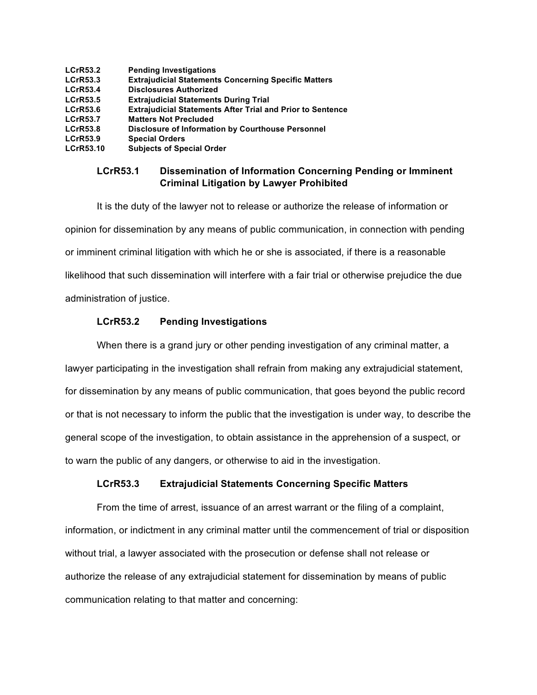| <b>LCrR53.2</b>  | <b>Pending Investigations</b>                                     |
|------------------|-------------------------------------------------------------------|
| <b>LCrR53.3</b>  | <b>Extrajudicial Statements Concerning Specific Matters</b>       |
| <b>LCrR53.4</b>  | <b>Disclosures Authorized</b>                                     |
| <b>LCrR53.5</b>  | <b>Extrajudicial Statements During Trial</b>                      |
| <b>LCrR53.6</b>  | <b>Extrajudicial Statements After Trial and Prior to Sentence</b> |
| <b>LCrR53.7</b>  | <b>Matters Not Precluded</b>                                      |
| <b>LCrR53.8</b>  | <b>Disclosure of Information by Courthouse Personnel</b>          |
| <b>LCrR53.9</b>  | <b>Special Orders</b>                                             |
| <b>LCrR53.10</b> | <b>Subjects of Special Order</b>                                  |

# **LCrR53.1 Dissemination of Information Concerning Pending or Imminent Criminal Litigation by Lawyer Prohibited**

It is the duty of the lawyer not to release or authorize the release of information or opinion for dissemination by any means of public communication, in connection with pending or imminent criminal litigation with which he or she is associated, if there is a reasonable likelihood that such dissemination will interfere with a fair trial or otherwise prejudice the due administration of justice.

# **LCrR53.2 Pending Investigations**

When there is a grand jury or other pending investigation of any criminal matter, a lawyer participating in the investigation shall refrain from making any extrajudicial statement, for dissemination by any means of public communication, that goes beyond the public record or that is not necessary to inform the public that the investigation is under way, to describe the general scope of the investigation, to obtain assistance in the apprehension of a suspect, or to warn the public of any dangers, or otherwise to aid in the investigation.

#### **LCrR53.3 Extrajudicial Statements Concerning Specific Matters**

From the time of arrest, issuance of an arrest warrant or the filing of a complaint, information, or indictment in any criminal matter until the commencement of trial or disposition without trial, a lawyer associated with the prosecution or defense shall not release or authorize the release of any extrajudicial statement for dissemination by means of public communication relating to that matter and concerning: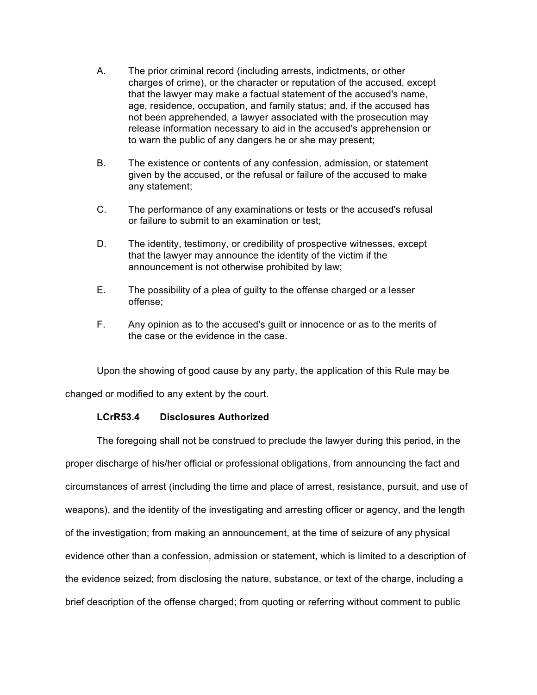- A. The prior criminal record (including arrests, indictments, or other charges of crime), or the character or reputation of the accused, except that the lawyer may make a factual statement of the accused's name, age, residence, occupation, and family status; and, if the accused has not been apprehended, a lawyer associated with the prosecution may release information necessary to aid in the accused's apprehension or to warn the public of any dangers he or she may present;
- B. The existence or contents of any confession, admission, or statement given by the accused, or the refusal or failure of the accused to make any statement;
- C. The performance of any examinations or tests or the accused's refusal or failure to submit to an examination or test;
- D. The identity, testimony, or credibility of prospective witnesses, except that the lawyer may announce the identity of the victim if the announcement is not otherwise prohibited by law;
- E. The possibility of a plea of guilty to the offense charged or a lesser offense;
- F. Any opinion as to the accused's guilt or innocence or as to the merits of the case or the evidence in the case.

Upon the showing of good cause by any party, the application of this Rule may be

changed or modified to any extent by the court.

#### **LCrR53.4 Disclosures Authorized**

The foregoing shall not be construed to preclude the lawyer during this period, in the proper discharge of his/her official or professional obligations, from announcing the fact and circumstances of arrest (including the time and place of arrest, resistance, pursuit, and use of weapons), and the identity of the investigating and arresting officer or agency, and the length of the investigation; from making an announcement, at the time of seizure of any physical evidence other than a confession, admission or statement, which is limited to a description of the evidence seized; from disclosing the nature, substance, or text of the charge, including a brief description of the offense charged; from quoting or referring without comment to public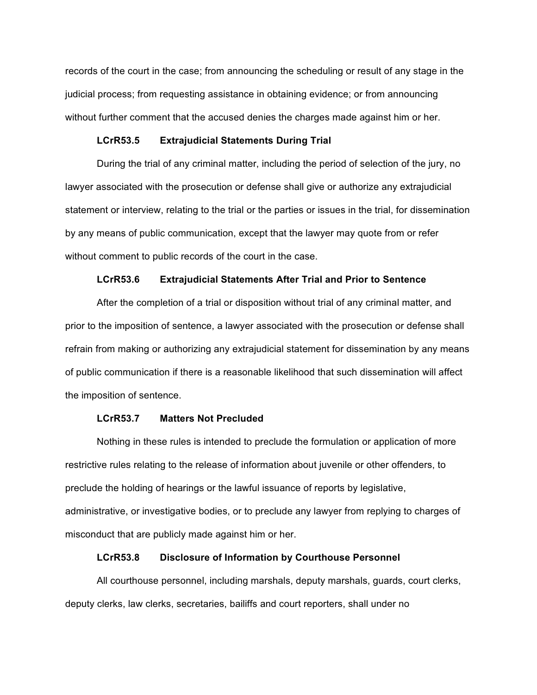records of the court in the case; from announcing the scheduling or result of any stage in the judicial process; from requesting assistance in obtaining evidence; or from announcing without further comment that the accused denies the charges made against him or her.

#### **LCrR53.5 Extrajudicial Statements During Trial**

During the trial of any criminal matter, including the period of selection of the jury, no lawyer associated with the prosecution or defense shall give or authorize any extrajudicial statement or interview, relating to the trial or the parties or issues in the trial, for dissemination by any means of public communication, except that the lawyer may quote from or refer without comment to public records of the court in the case.

#### **LCrR53.6 Extrajudicial Statements After Trial and Prior to Sentence**

After the completion of a trial or disposition without trial of any criminal matter, and prior to the imposition of sentence, a lawyer associated with the prosecution or defense shall refrain from making or authorizing any extrajudicial statement for dissemination by any means of public communication if there is a reasonable likelihood that such dissemination will affect the imposition of sentence.

#### **LCrR53.7 Matters Not Precluded**

Nothing in these rules is intended to preclude the formulation or application of more restrictive rules relating to the release of information about juvenile or other offenders, to preclude the holding of hearings or the lawful issuance of reports by legislative, administrative, or investigative bodies, or to preclude any lawyer from replying to charges of misconduct that are publicly made against him or her.

#### **LCrR53.8 Disclosure of Information by Courthouse Personnel**

All courthouse personnel, including marshals, deputy marshals, guards, court clerks, deputy clerks, law clerks, secretaries, bailiffs and court reporters, shall under no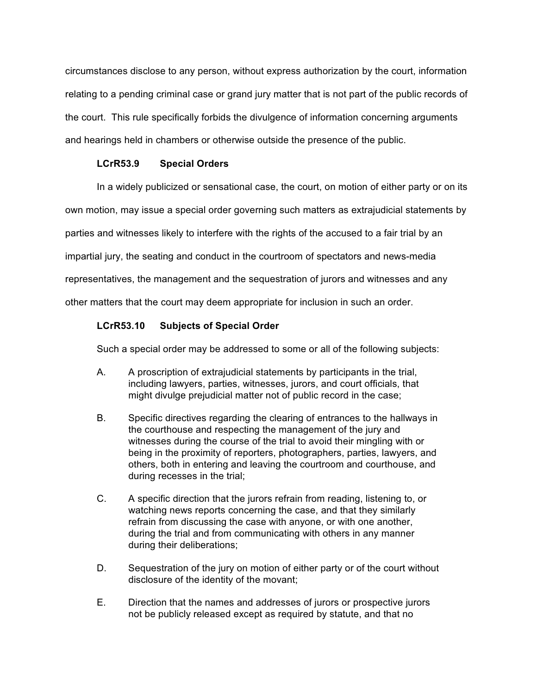circumstances disclose to any person, without express authorization by the court, information relating to a pending criminal case or grand jury matter that is not part of the public records of the court. This rule specifically forbids the divulgence of information concerning arguments and hearings held in chambers or otherwise outside the presence of the public.

# **LCrR53.9 Special Orders**

In a widely publicized or sensational case, the court, on motion of either party or on its

own motion, may issue a special order governing such matters as extrajudicial statements by

parties and witnesses likely to interfere with the rights of the accused to a fair trial by an

impartial jury, the seating and conduct in the courtroom of spectators and news-media

representatives, the management and the sequestration of jurors and witnesses and any

other matters that the court may deem appropriate for inclusion in such an order.

# **LCrR53.10 Subjects of Special Order**

Such a special order may be addressed to some or all of the following subjects:

- A. A proscription of extrajudicial statements by participants in the trial, including lawyers, parties, witnesses, jurors, and court officials, that might divulge prejudicial matter not of public record in the case;
- B. Specific directives regarding the clearing of entrances to the hallways in the courthouse and respecting the management of the jury and witnesses during the course of the trial to avoid their mingling with or being in the proximity of reporters, photographers, parties, lawyers, and others, both in entering and leaving the courtroom and courthouse, and during recesses in the trial;
- C. A specific direction that the jurors refrain from reading, listening to, or watching news reports concerning the case, and that they similarly refrain from discussing the case with anyone, or with one another, during the trial and from communicating with others in any manner during their deliberations;
- D. Sequestration of the jury on motion of either party or of the court without disclosure of the identity of the movant;
- E. Direction that the names and addresses of jurors or prospective jurors not be publicly released except as required by statute, and that no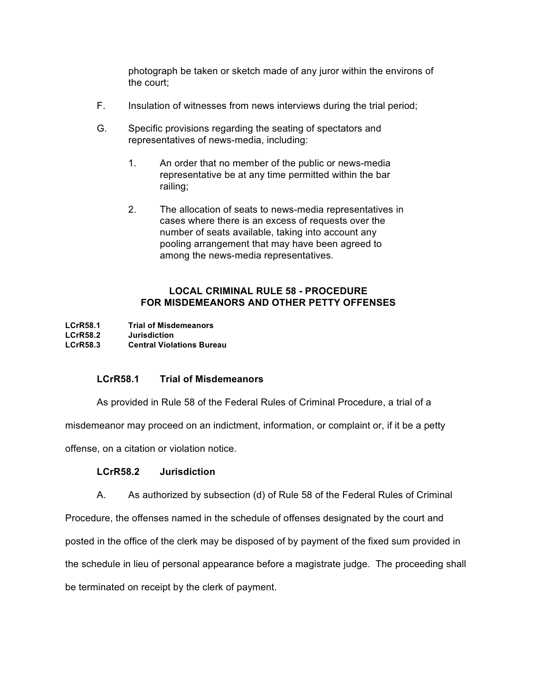photograph be taken or sketch made of any juror within the environs of the court;

- F. Insulation of witnesses from news interviews during the trial period;
- G. Specific provisions regarding the seating of spectators and representatives of news-media, including:
	- 1. An order that no member of the public or news-media representative be at any time permitted within the bar railing;
	- 2. The allocation of seats to news-media representatives in cases where there is an excess of requests over the number of seats available, taking into account any pooling arrangement that may have been agreed to among the news-media representatives.

# **LOCAL CRIMINAL RULE 58 - PROCEDURE FOR MISDEMEANORS AND OTHER PETTY OFFENSES**

**LCrR58.1 Trial of Misdemeanors LCrR58.2 Jurisdiction LCrR58.3 Central Violations Bureau**

#### **LCrR58.1 Trial of Misdemeanors**

As provided in Rule 58 of the Federal Rules of Criminal Procedure, a trial of a

misdemeanor may proceed on an indictment, information, or complaint or, if it be a petty

offense, on a citation or violation notice.

#### **LCrR58.2 Jurisdiction**

A. As authorized by subsection (d) of Rule 58 of the Federal Rules of Criminal

Procedure, the offenses named in the schedule of offenses designated by the court and posted in the office of the clerk may be disposed of by payment of the fixed sum provided in the schedule in lieu of personal appearance before a magistrate judge. The proceeding shall be terminated on receipt by the clerk of payment.